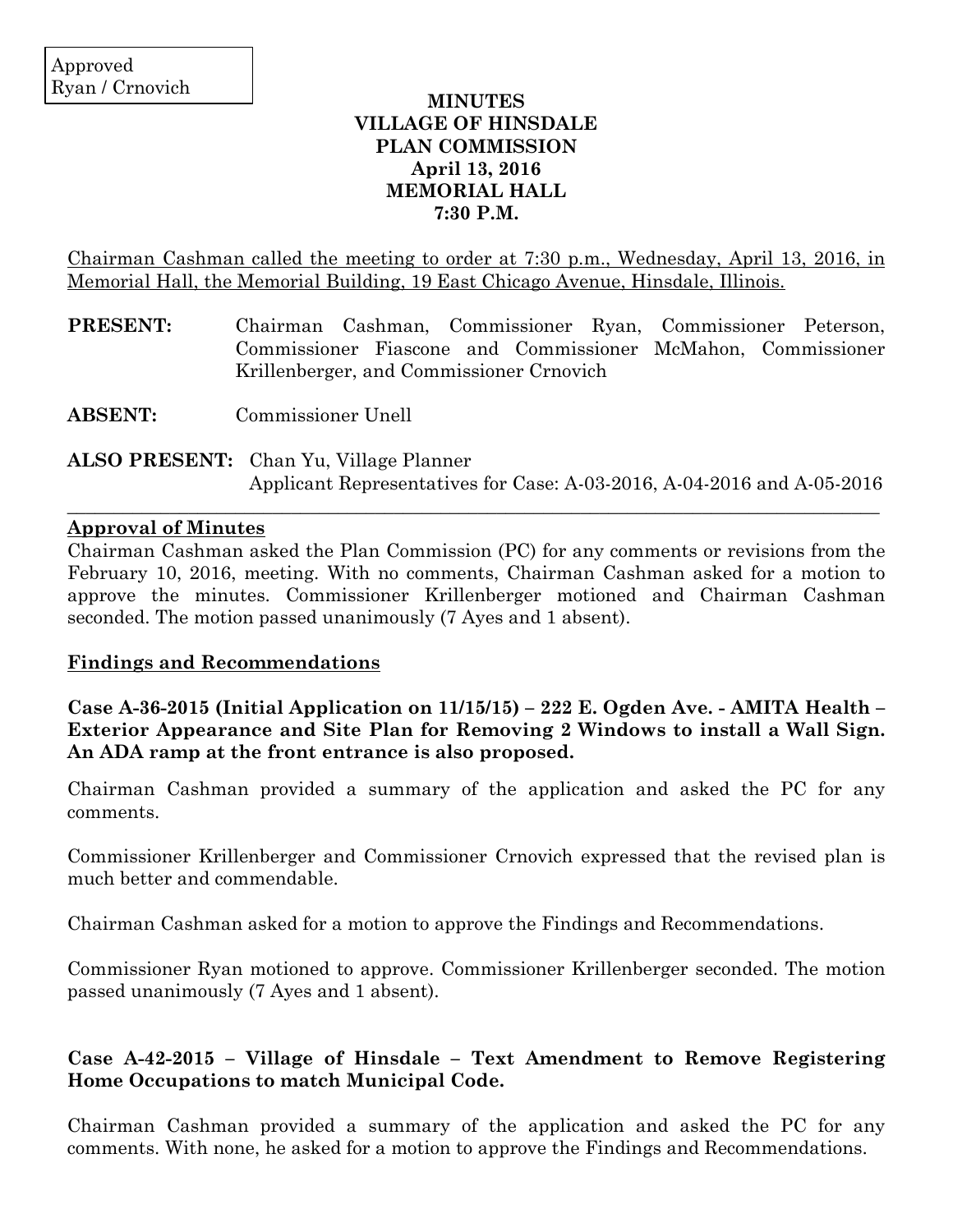### **MINUTES VILLAGE OF HINSDALE PLAN COMMISSION April 13, 2016 MEMORIAL HALL 7:30 P.M.**

Chairman Cashman called the meeting to order at 7:30 p.m., Wednesday, April 13, 2016, in Memorial Hall, the Memorial Building, 19 East Chicago Avenue, Hinsdale, Illinois.

- **PRESENT:** Chairman Cashman, Commissioner Ryan, Commissioner Peterson, Commissioner Fiascone and Commissioner McMahon, Commissioner Krillenberger, and Commissioner Crnovich
- **ABSENT:** Commissioner Unell
- **ALSO PRESENT:** Chan Yu, Village Planner Applicant Representatives for Case: A-03-2016, A-04-2016 and A-05-2016

 $\_$  ,  $\_$  ,  $\_$  ,  $\_$  ,  $\_$  ,  $\_$  ,  $\_$  ,  $\_$  ,  $\_$  ,  $\_$  ,  $\_$  ,  $\_$  ,  $\_$  ,  $\_$  ,  $\_$  ,  $\_$  ,  $\_$  ,  $\_$  ,  $\_$  ,  $\_$  ,  $\_$  ,  $\_$  ,  $\_$  ,  $\_$  ,  $\_$  ,  $\_$  ,  $\_$  ,  $\_$  ,  $\_$  ,  $\_$  ,  $\_$  ,  $\_$  ,  $\_$  ,  $\_$  ,  $\_$  ,  $\_$  ,  $\_$  ,

### **Approval of Minutes**

Chairman Cashman asked the Plan Commission (PC) for any comments or revisions from the February 10, 2016, meeting. With no comments, Chairman Cashman asked for a motion to approve the minutes. Commissioner Krillenberger motioned and Chairman Cashman seconded. The motion passed unanimously (7 Ayes and 1 absent).

### **Findings and Recommendations**

**Case A-36-2015 (Initial Application on 11/15/15) – 222 E. Ogden Ave. - AMITA Health – Exterior Appearance and Site Plan for Removing 2 Windows to install a Wall Sign. An ADA ramp at the front entrance is also proposed.**

Chairman Cashman provided a summary of the application and asked the PC for any comments.

Commissioner Krillenberger and Commissioner Crnovich expressed that the revised plan is much better and commendable.

Chairman Cashman asked for a motion to approve the Findings and Recommendations.

Commissioner Ryan motioned to approve. Commissioner Krillenberger seconded. The motion passed unanimously (7 Ayes and 1 absent).

## **Case A-42-2015 – Village of Hinsdale – Text Amendment to Remove Registering Home Occupations to match Municipal Code.**

Chairman Cashman provided a summary of the application and asked the PC for any comments. With none, he asked for a motion to approve the Findings and Recommendations.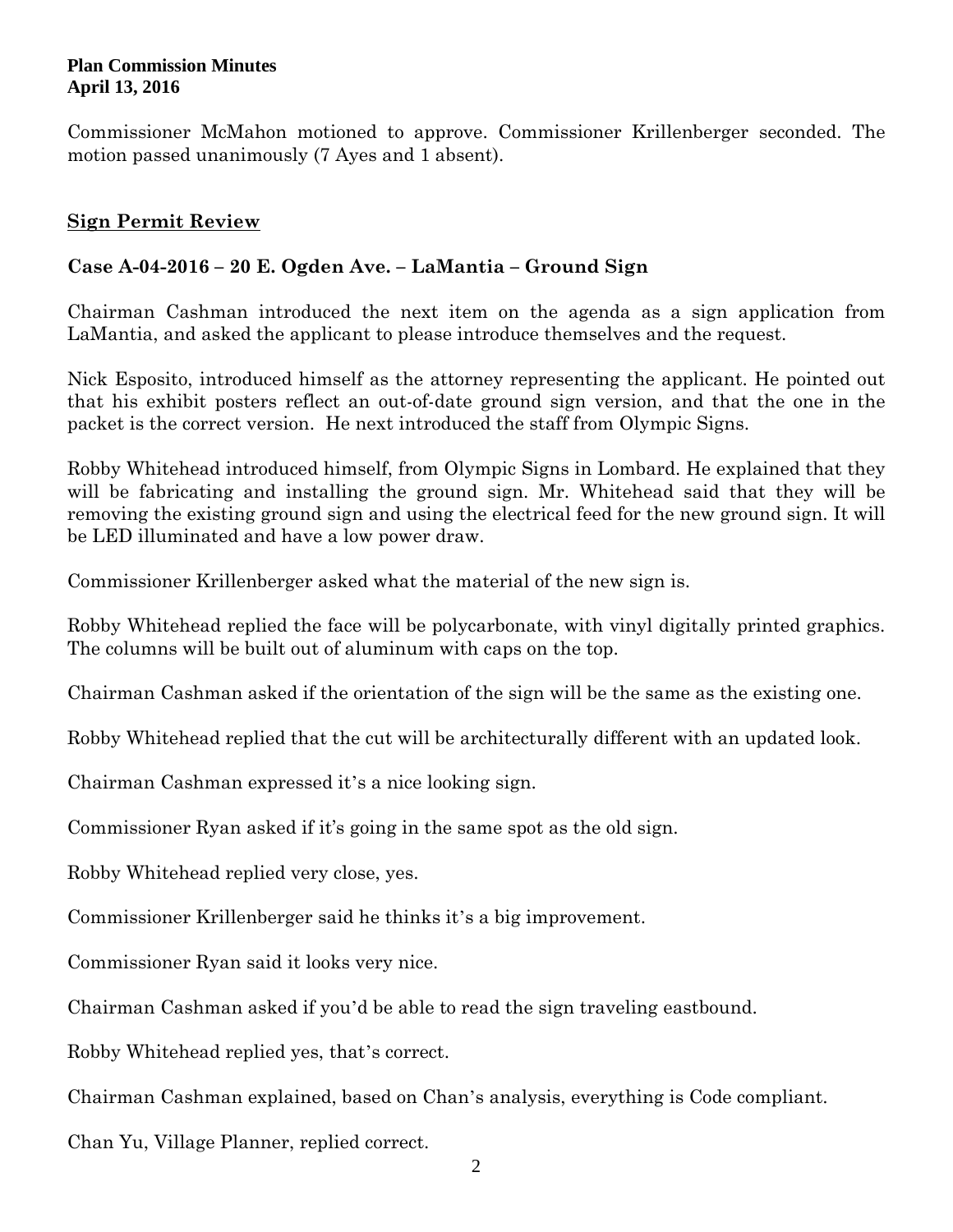Commissioner McMahon motioned to approve. Commissioner Krillenberger seconded. The motion passed unanimously (7 Ayes and 1 absent).

# **Sign Permit Review**

# **Case A-04-2016 – 20 E. Ogden Ave. – LaMantia – Ground Sign**

Chairman Cashman introduced the next item on the agenda as a sign application from LaMantia, and asked the applicant to please introduce themselves and the request.

Nick Esposito, introduced himself as the attorney representing the applicant. He pointed out that his exhibit posters reflect an out-of-date ground sign version, and that the one in the packet is the correct version. He next introduced the staff from Olympic Signs.

Robby Whitehead introduced himself, from Olympic Signs in Lombard. He explained that they will be fabricating and installing the ground sign. Mr. Whitehead said that they will be removing the existing ground sign and using the electrical feed for the new ground sign. It will be LED illuminated and have a low power draw.

Commissioner Krillenberger asked what the material of the new sign is.

Robby Whitehead replied the face will be polycarbonate, with vinyl digitally printed graphics. The columns will be built out of aluminum with caps on the top.

Chairman Cashman asked if the orientation of the sign will be the same as the existing one.

Robby Whitehead replied that the cut will be architecturally different with an updated look.

Chairman Cashman expressed it's a nice looking sign.

Commissioner Ryan asked if it's going in the same spot as the old sign.

Robby Whitehead replied very close, yes.

Commissioner Krillenberger said he thinks it's a big improvement.

Commissioner Ryan said it looks very nice.

Chairman Cashman asked if you'd be able to read the sign traveling eastbound.

Robby Whitehead replied yes, that's correct.

Chairman Cashman explained, based on Chan's analysis, everything is Code compliant.

Chan Yu, Village Planner, replied correct.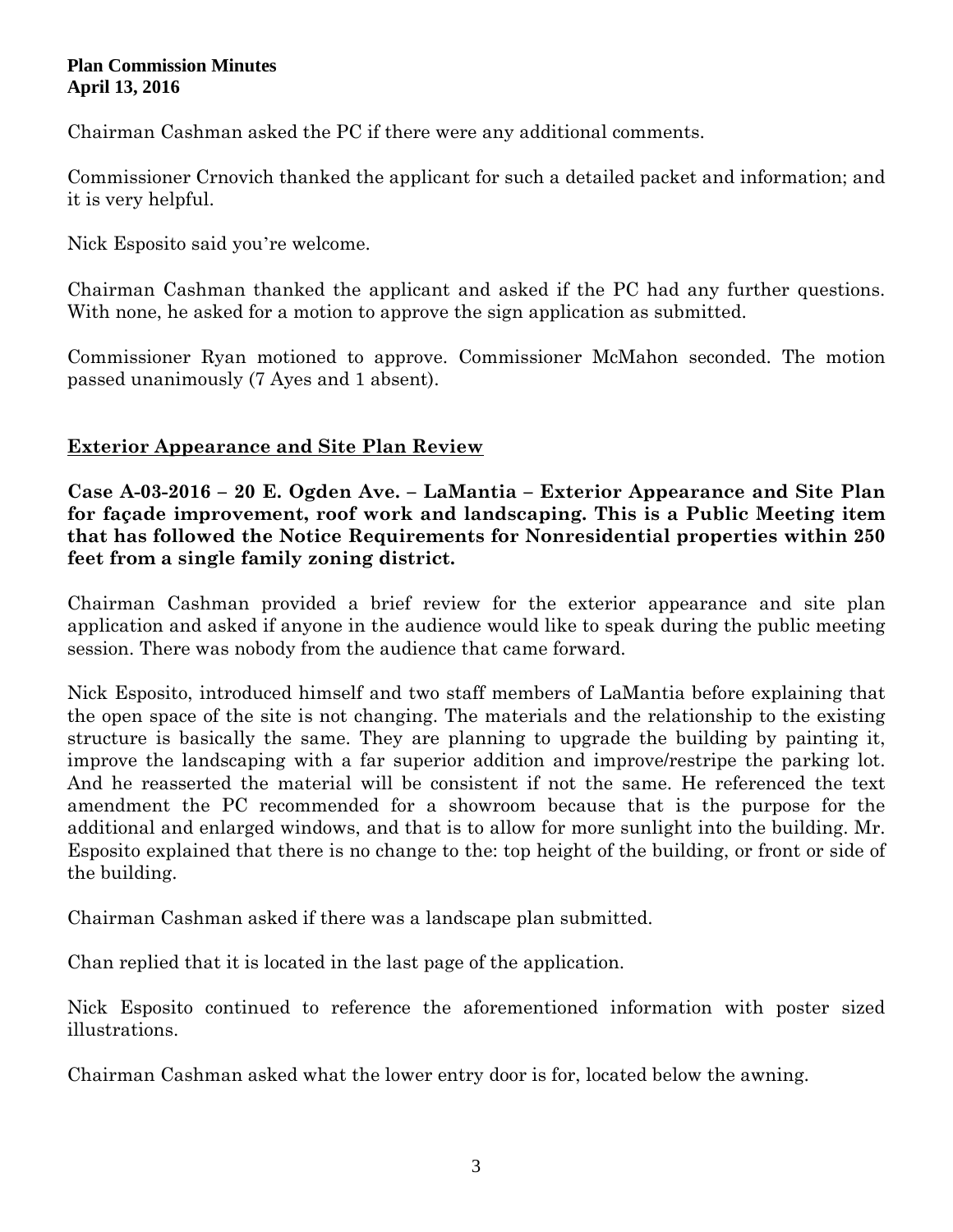Chairman Cashman asked the PC if there were any additional comments.

Commissioner Crnovich thanked the applicant for such a detailed packet and information; and it is very helpful.

Nick Esposito said you're welcome.

Chairman Cashman thanked the applicant and asked if the PC had any further questions. With none, he asked for a motion to approve the sign application as submitted.

Commissioner Ryan motioned to approve. Commissioner McMahon seconded. The motion passed unanimously (7 Ayes and 1 absent).

## **Exterior Appearance and Site Plan Review**

**Case A-03-2016 – 20 E. Ogden Ave. – LaMantia – Exterior Appearance and Site Plan for façade improvement, roof work and landscaping. This is a Public Meeting item that has followed the Notice Requirements for Nonresidential properties within 250 feet from a single family zoning district.**

Chairman Cashman provided a brief review for the exterior appearance and site plan application and asked if anyone in the audience would like to speak during the public meeting session. There was nobody from the audience that came forward.

Nick Esposito, introduced himself and two staff members of LaMantia before explaining that the open space of the site is not changing. The materials and the relationship to the existing structure is basically the same. They are planning to upgrade the building by painting it, improve the landscaping with a far superior addition and improve/restripe the parking lot. And he reasserted the material will be consistent if not the same. He referenced the text amendment the PC recommended for a showroom because that is the purpose for the additional and enlarged windows, and that is to allow for more sunlight into the building. Mr. Esposito explained that there is no change to the: top height of the building, or front or side of the building.

Chairman Cashman asked if there was a landscape plan submitted.

Chan replied that it is located in the last page of the application.

Nick Esposito continued to reference the aforementioned information with poster sized illustrations.

Chairman Cashman asked what the lower entry door is for, located below the awning.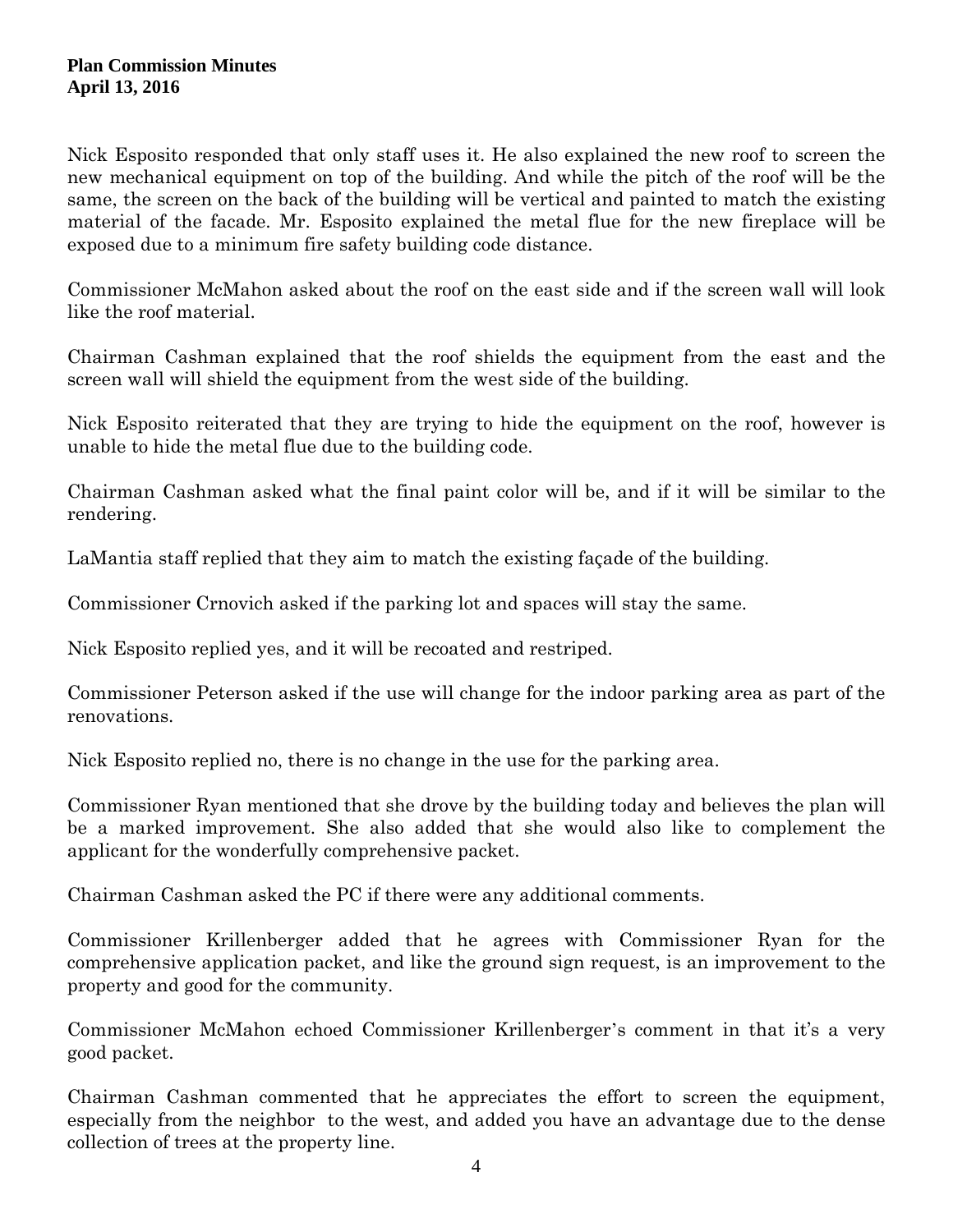Nick Esposito responded that only staff uses it. He also explained the new roof to screen the new mechanical equipment on top of the building. And while the pitch of the roof will be the same, the screen on the back of the building will be vertical and painted to match the existing material of the facade. Mr. Esposito explained the metal flue for the new fireplace will be exposed due to a minimum fire safety building code distance.

Commissioner McMahon asked about the roof on the east side and if the screen wall will look like the roof material.

Chairman Cashman explained that the roof shields the equipment from the east and the screen wall will shield the equipment from the west side of the building.

Nick Esposito reiterated that they are trying to hide the equipment on the roof, however is unable to hide the metal flue due to the building code.

Chairman Cashman asked what the final paint color will be, and if it will be similar to the rendering.

LaMantia staff replied that they aim to match the existing façade of the building.

Commissioner Crnovich asked if the parking lot and spaces will stay the same.

Nick Esposito replied yes, and it will be recoated and restriped.

Commissioner Peterson asked if the use will change for the indoor parking area as part of the renovations.

Nick Esposito replied no, there is no change in the use for the parking area.

Commissioner Ryan mentioned that she drove by the building today and believes the plan will be a marked improvement. She also added that she would also like to complement the applicant for the wonderfully comprehensive packet.

Chairman Cashman asked the PC if there were any additional comments.

Commissioner Krillenberger added that he agrees with Commissioner Ryan for the comprehensive application packet, and like the ground sign request, is an improvement to the property and good for the community.

Commissioner McMahon echoed Commissioner Krillenberger's comment in that it's a very good packet.

Chairman Cashman commented that he appreciates the effort to screen the equipment, especially from the neighbor to the west, and added you have an advantage due to the dense collection of trees at the property line.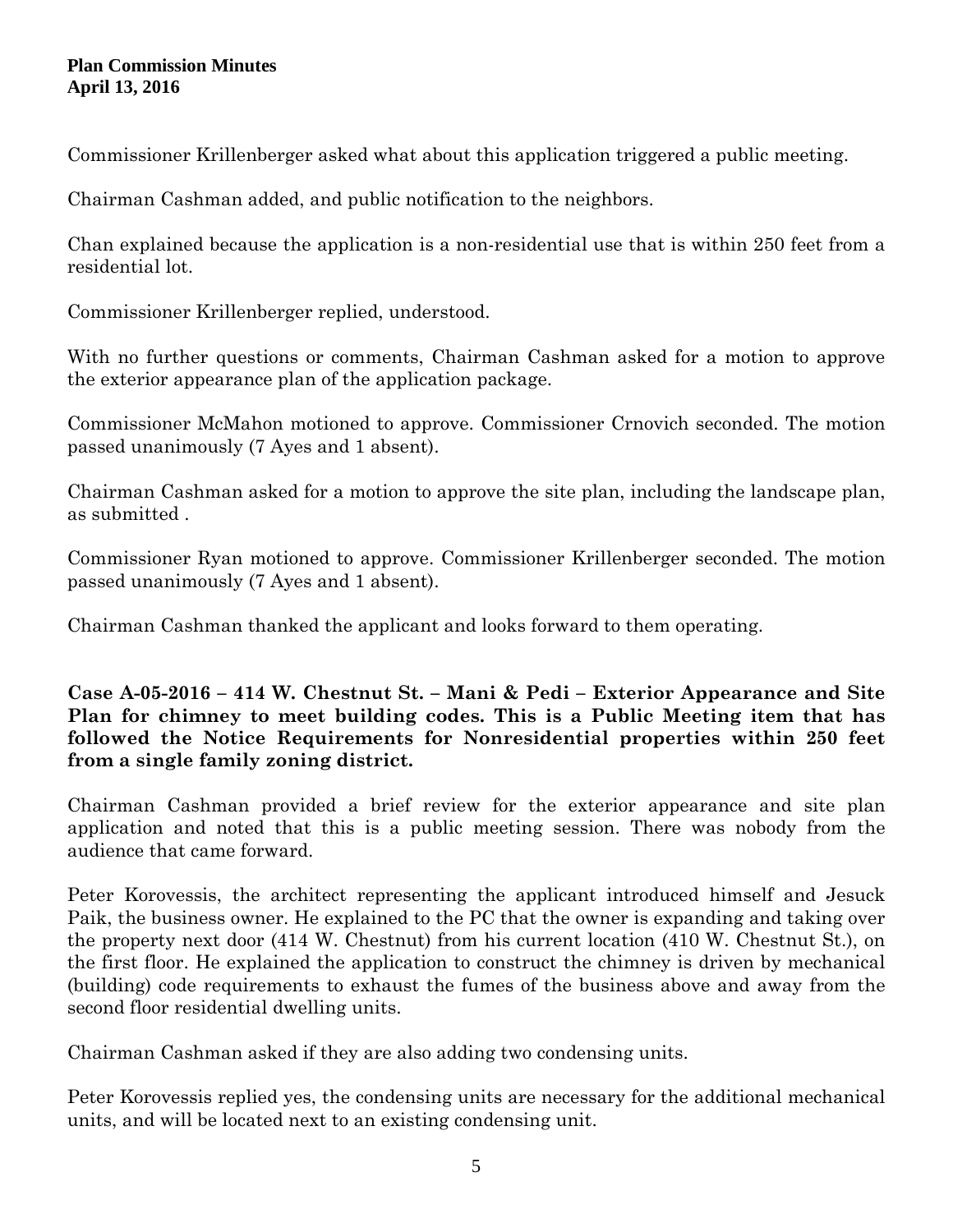Commissioner Krillenberger asked what about this application triggered a public meeting.

Chairman Cashman added, and public notification to the neighbors.

Chan explained because the application is a non-residential use that is within 250 feet from a residential lot.

Commissioner Krillenberger replied, understood.

With no further questions or comments, Chairman Cashman asked for a motion to approve the exterior appearance plan of the application package.

Commissioner McMahon motioned to approve. Commissioner Crnovich seconded. The motion passed unanimously (7 Ayes and 1 absent).

Chairman Cashman asked for a motion to approve the site plan, including the landscape plan, as submitted .

Commissioner Ryan motioned to approve. Commissioner Krillenberger seconded. The motion passed unanimously (7 Ayes and 1 absent).

Chairman Cashman thanked the applicant and looks forward to them operating.

**Case A-05-2016 – 414 W. Chestnut St. – Mani & Pedi – Exterior Appearance and Site Plan for chimney to meet building codes. This is a Public Meeting item that has followed the Notice Requirements for Nonresidential properties within 250 feet from a single family zoning district.**

Chairman Cashman provided a brief review for the exterior appearance and site plan application and noted that this is a public meeting session. There was nobody from the audience that came forward.

Peter Korovessis, the architect representing the applicant introduced himself and Jesuck Paik, the business owner. He explained to the PC that the owner is expanding and taking over the property next door (414 W. Chestnut) from his current location (410 W. Chestnut St.), on the first floor. He explained the application to construct the chimney is driven by mechanical (building) code requirements to exhaust the fumes of the business above and away from the second floor residential dwelling units.

Chairman Cashman asked if they are also adding two condensing units.

Peter Korovessis replied yes, the condensing units are necessary for the additional mechanical units, and will be located next to an existing condensing unit.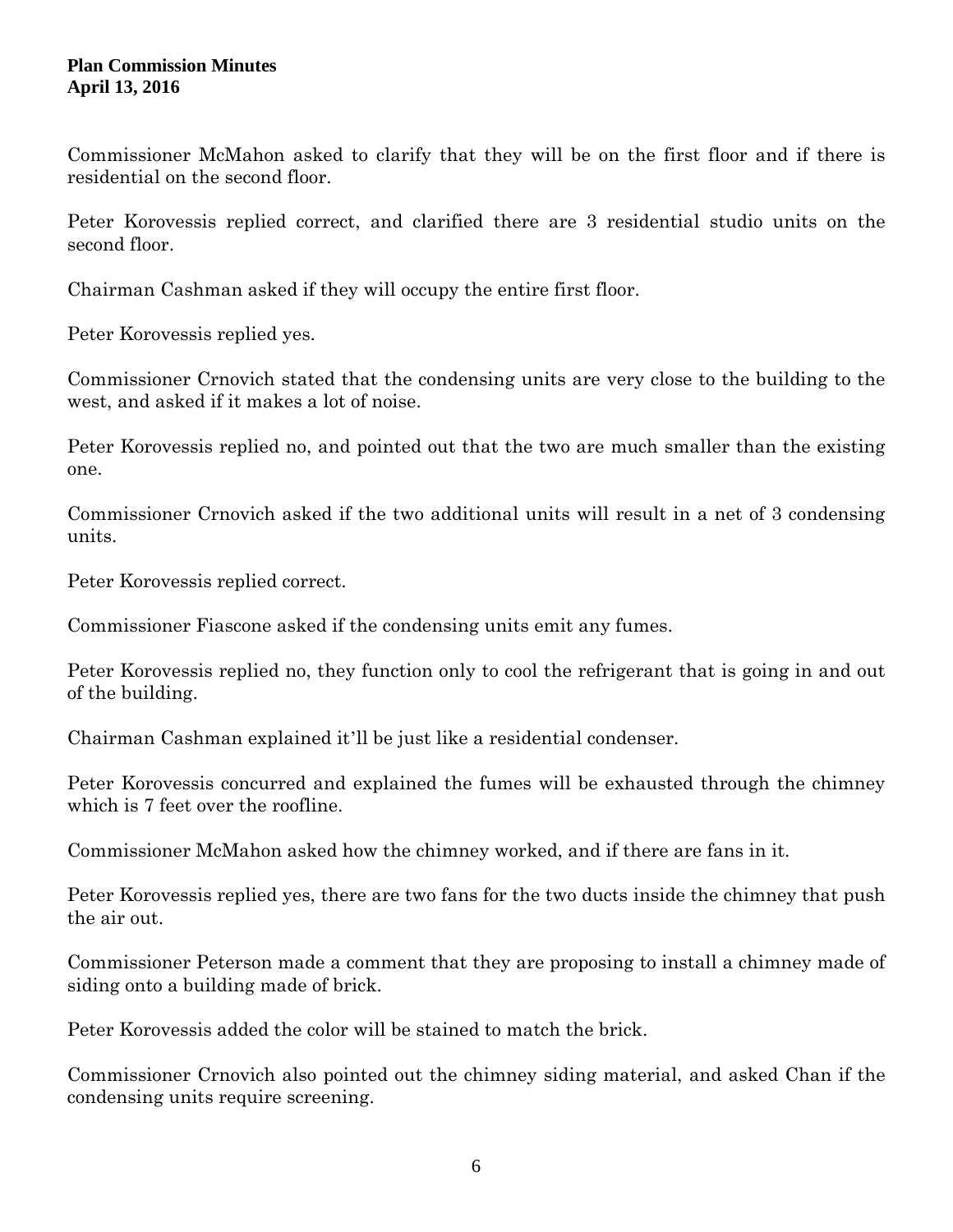Commissioner McMahon asked to clarify that they will be on the first floor and if there is residential on the second floor.

Peter Korovessis replied correct, and clarified there are 3 residential studio units on the second floor.

Chairman Cashman asked if they will occupy the entire first floor.

Peter Korovessis replied yes.

Commissioner Crnovich stated that the condensing units are very close to the building to the west, and asked if it makes a lot of noise.

Peter Korovessis replied no, and pointed out that the two are much smaller than the existing one.

Commissioner Crnovich asked if the two additional units will result in a net of 3 condensing units.

Peter Korovessis replied correct.

Commissioner Fiascone asked if the condensing units emit any fumes.

Peter Korovessis replied no, they function only to cool the refrigerant that is going in and out of the building.

Chairman Cashman explained it'll be just like a residential condenser.

Peter Korovessis concurred and explained the fumes will be exhausted through the chimney which is 7 feet over the roofline.

Commissioner McMahon asked how the chimney worked, and if there are fans in it.

Peter Korovessis replied yes, there are two fans for the two ducts inside the chimney that push the air out.

Commissioner Peterson made a comment that they are proposing to install a chimney made of siding onto a building made of brick.

Peter Korovessis added the color will be stained to match the brick.

Commissioner Crnovich also pointed out the chimney siding material, and asked Chan if the condensing units require screening.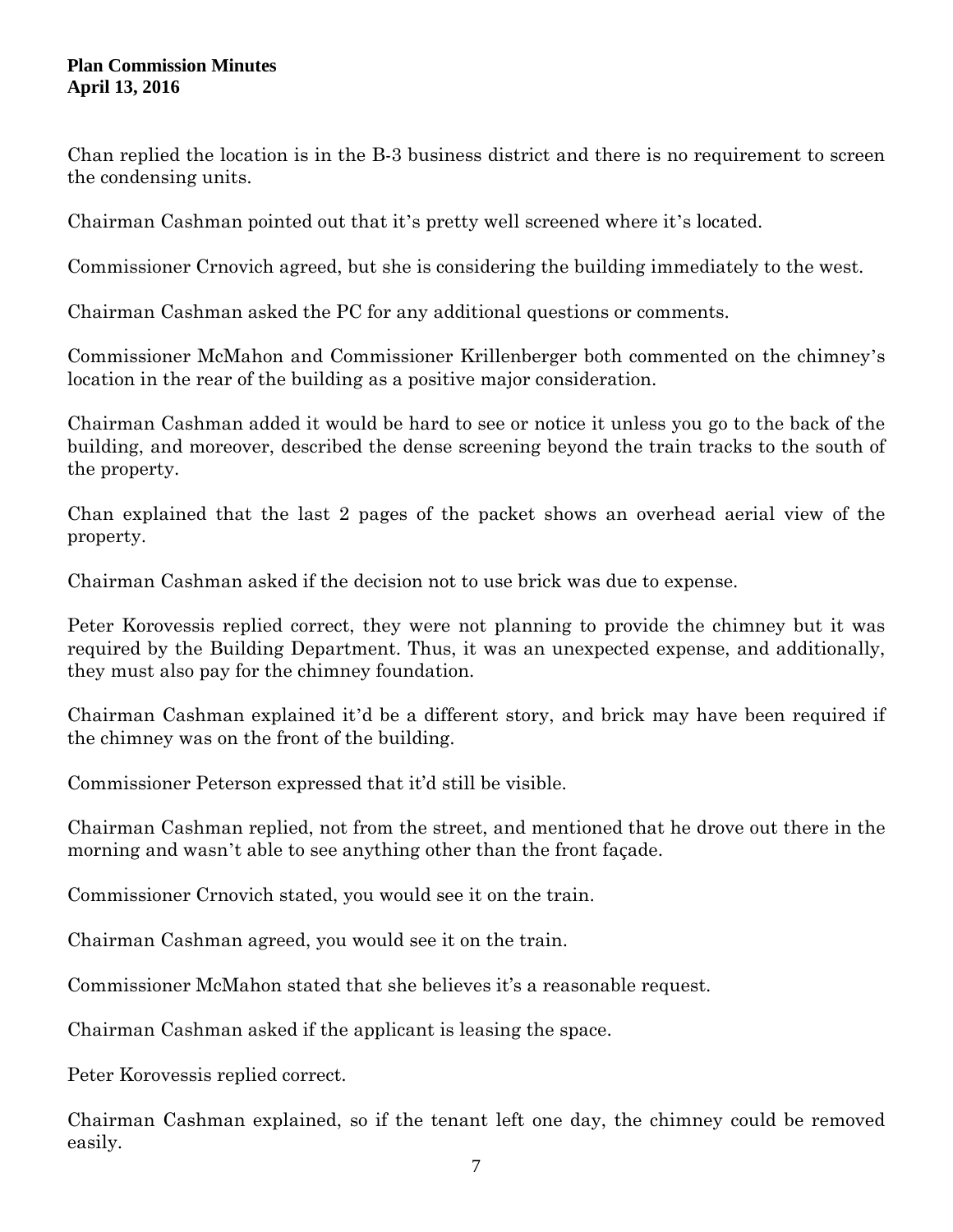Chan replied the location is in the B-3 business district and there is no requirement to screen the condensing units.

Chairman Cashman pointed out that it's pretty well screened where it's located.

Commissioner Crnovich agreed, but she is considering the building immediately to the west.

Chairman Cashman asked the PC for any additional questions or comments.

Commissioner McMahon and Commissioner Krillenberger both commented on the chimney's location in the rear of the building as a positive major consideration.

Chairman Cashman added it would be hard to see or notice it unless you go to the back of the building, and moreover, described the dense screening beyond the train tracks to the south of the property.

Chan explained that the last 2 pages of the packet shows an overhead aerial view of the property.

Chairman Cashman asked if the decision not to use brick was due to expense.

Peter Korovessis replied correct, they were not planning to provide the chimney but it was required by the Building Department. Thus, it was an unexpected expense, and additionally, they must also pay for the chimney foundation.

Chairman Cashman explained it'd be a different story, and brick may have been required if the chimney was on the front of the building.

Commissioner Peterson expressed that it'd still be visible.

Chairman Cashman replied, not from the street, and mentioned that he drove out there in the morning and wasn't able to see anything other than the front façade.

Commissioner Crnovich stated, you would see it on the train.

Chairman Cashman agreed, you would see it on the train.

Commissioner McMahon stated that she believes it's a reasonable request.

Chairman Cashman asked if the applicant is leasing the space.

Peter Korovessis replied correct.

Chairman Cashman explained, so if the tenant left one day, the chimney could be removed easily.